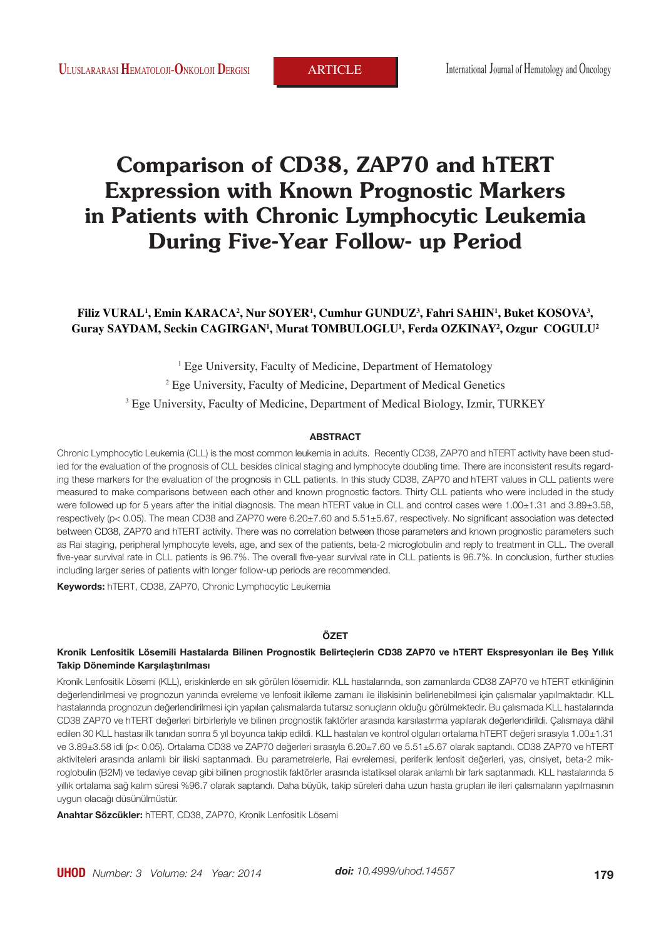# **Comparison of CD38, ZAP70 and hTERT Expression with Known Prognostic Markers in Patients with Chronic Lymphocytic Leukemia During Five-Year Follow- up Period**

# $\mathbf{Filiz}$   $\mathbf{VURAL}^1$ ,  $\mathbf{Emin}$   $\mathbf{KARACA^2}$ ,  $\mathbf{Nur}$   $\mathbf{SOYER}^1$ ,  $\mathbf{Cumhur}$   $\mathbf{GUNDUZ}^3$ ,  $\mathbf{Fahri}$   $\mathbf{SAHIN}^1$ ,  $\mathbf{Buke}$   $\mathbf{KOSOVA}^3$ ,  $\bold{Gurg\ SAYDAM, Seckin\ CAGIRGAN^1, Murat\ TOMBULOGLU^1, Ferda OZKINAY^2, Ozgur\ COGULU^2}$

<sup>1</sup> Ege University, Faculty of Medicine, Department of Hematology

2 Ege University, Faculty of Medicine, Department of Medical Genetics

3 Ege University, Faculty of Medicine, Department of Medical Biology, Izmir, TURKEY

#### **ABSTRACT**

Chronic Lymphocytic Leukemia (CLL) is the most common leukemia in adults. Recently CD38, ZAP70 and hTERT activity have been studied for the evaluation of the prognosis of CLL besides clinical staging and lymphocyte doubling time. There are inconsistent results regarding these markers for the evaluation of the prognosis in CLL patients. In this study CD38, ZAP70 and hTERT values in CLL patients were measured to make comparisons between each other and known prognostic factors. Thirty CLL patients who were included in the study were followed up for 5 years after the initial diagnosis. The mean hTERT value in CLL and control cases were 1.00±1.31 and 3.89±3.58, respectively (p< 0.05). The mean CD38 and ZAP70 were 6.20±7.60 and 5.51±5.67, respectively. No significant association was detected between CD38, ZAP70 and hTERT activity. There was no correlation between those parameters and known prognostic parameters such as Rai staging, peripheral lymphocyte levels, age, and sex of the patients, beta-2 microglobulin and reply to treatment in CLL. The overall five-year survival rate in CLL patients is 96.7%. The overall five-year survival rate in CLL patients is 96.7%. In conclusion, further studies including larger series of patients with longer follow-up periods are recommended.

**Keywords:** hTERT, CD38, ZAP70, Chronic Lymphocytic Leukemia

### **ÖZET**

## **Kronik Lenfositik Lösemili Hastalarda Bilinen Prognostik Belirteçlerin CD38 ZAP70 ve hTERT Ekspresyonları ile Beş Yıllık Takip Döneminde Karşılaştırılması**

Kronik Lenfositik Lösemi (KLL), eriskinlerde en sık görülen lösemidir. KLL hastalarında, son zamanlarda CD38 ZAP70 ve hTERT etkinliğinin değerlendirilmesi ve prognozun yanında evreleme ve lenfosit ikileme zamanı ile iliskisinin belirlenebilmesi için çalısmalar yapılmaktadır. KLL hastalarında prognozun değerlendirilmesi için yapılan çalısmalarda tutarsız sonuçların olduğu görülmektedir. Bu çalısmada KLL hastalarında CD38 ZAP70 ve hTERT değerleri birbirleriyle ve bilinen prognostik faktörler arasında karsılastırma yapılarak değerlendirildi. Çalısmaya dâhil edilen 30 KLL hastası ilk tanıdan sonra 5 yıl boyunca takip edildi. KLL hastaları ve kontrol olguları ortalama hTERT değeri sırasıyla 1.00±1.31 ve 3.89±3.58 idi (p< 0.05). Ortalama CD38 ve ZAP70 değerleri sırasıyla 6.20±7.60 ve 5.51±5.67 olarak saptandı. CD38 ZAP70 ve hTERT aktiviteleri arasında anlamlı bir iliski saptanmadı. Bu parametrelerle, Rai evrelemesi, periferik lenfosit değerleri, yas, cinsiyet, beta-2 mikroglobulin (B2M) ve tedaviye cevap gibi bilinen prognostik faktörler arasında istatiksel olarak anlamlı bir fark saptanmadı. KLL hastalarında 5 yıllık ortalama sağ kalım süresi %96.7 olarak saptandı. Daha büyük, takip süreleri daha uzun hasta grupları ile ileri çalısmaların yapılmasının uygun olacağı düsünülmüstür.

**Anahtar Sözcükler:** hTERT, CD38, ZAP70, Kronik Lenfositik Lösemi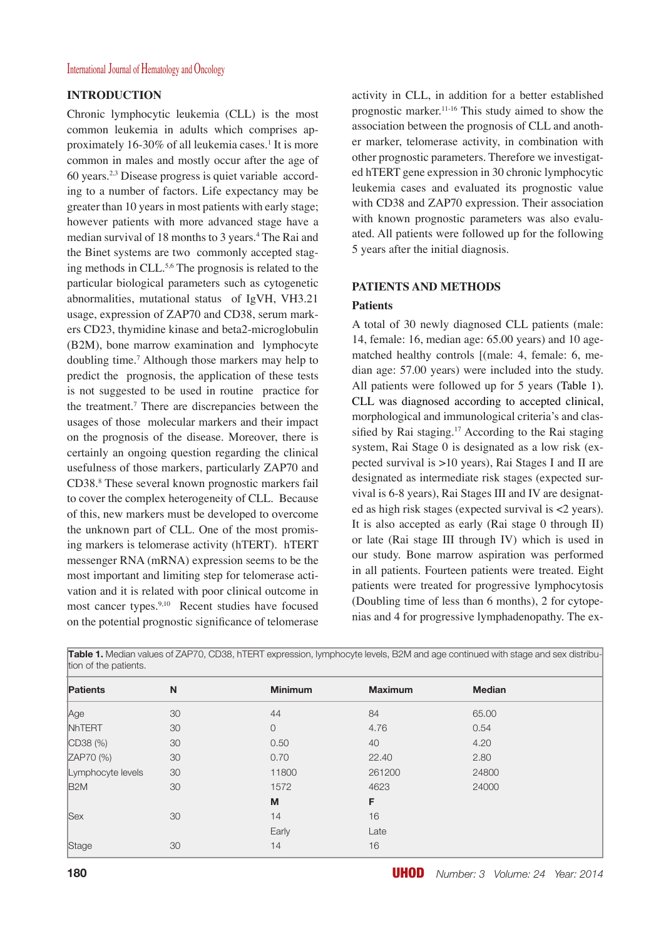## **INTRODUCTION**

Chronic lymphocytic leukemia (CLL) is the most common leukemia in adults which comprises approximately 16-30% of all leukemia cases.<sup>1</sup> It is more common in males and mostly occur after the age of 60 years.2,3 Disease progress is quiet variable according to a number of factors. Life expectancy may be greater than 10 years in most patients with early stage; however patients with more advanced stage have a median survival of 18 months to 3 years.4 The Rai and the Binet systems are two commonly accepted staging methods in CLL.5,6 The prognosis is related to the particular biological parameters such as cytogenetic abnormalities, mutational status of IgVH, VH3.21 usage, expression of ZAP70 and CD38, serum markers CD23, thymidine kinase and beta2-microglobulin (B2M), bone marrow examination and lymphocyte doubling time.7 Although those markers may help to predict the prognosis, the application of these tests is not suggested to be used in routine practice for the treatment.7 There are discrepancies between the usages of those molecular markers and their impact on the prognosis of the disease. Moreover, there is certainly an ongoing question regarding the clinical usefulness of those markers, particularly ZAP70 and CD38.8 These several known prognostic markers fail to cover the complex heterogeneity of CLL. Because of this, new markers must be developed to overcome the unknown part of CLL. One of the most promising markers is telomerase activity (hTERT). hTERT messenger RNA (mRNA) expression seems to be the most important and limiting step for telomerase activation and it is related with poor clinical outcome in most cancer types.<sup>9,10</sup> Recent studies have focused on the potential prognostic significance of telomerase

activity in CLL, in addition for a better established prognostic marker.11-16 This study aimed to show the association between the prognosis of CLL and another marker, telomerase activity, in combination with other prognostic parameters. Therefore we investigated hTERT gene expression in 30 chronic lymphocytic leukemia cases and evaluated its prognostic value with CD38 and ZAP70 expression. Their association with known prognostic parameters was also evaluated. All patients were followed up for the following 5 years after the initial diagnosis.

# **PATIENTS AND METHODS**

## **Patients**

A total of 30 newly diagnosed CLL patients (male: 14, female: 16, median age: 65.00 years) and 10 agematched healthy controls [(male: 4, female: 6, median age: 57.00 years) were included into the study. All patients were followed up for 5 years (Table 1). CLL was diagnosed according to accepted clinical, morphological and immunological criteria's and classified by Rai staging.<sup>17</sup> According to the Rai staging system, Rai Stage 0 is designated as a low risk (expected survival is >10 years), Rai Stages I and II are designated as intermediate risk stages (expected survival is 6-8 years), Rai Stages III and IV are designated as high risk stages (expected survival is <2 years). It is also accepted as early (Rai stage 0 through II) or late (Rai stage III through IV) which is used in our study. Bone marrow aspiration was performed in all patients. Fourteen patients were treated. Eight patients were treated for progressive lymphocytosis (Doubling time of less than 6 months), 2 for cytopenias and 4 for progressive lymphadenopathy. The ex-

| tion of the patients. |                |                |               |  |  |
|-----------------------|----------------|----------------|---------------|--|--|
| N                     | <b>Minimum</b> | <b>Maximum</b> | <b>Median</b> |  |  |
| 30                    | 44             | 84             | 65.00         |  |  |
| 30                    | $\overline{0}$ | 4.76           | 0.54          |  |  |
| 30                    | 0.50           | 40             | 4.20          |  |  |
| 30                    | 0.70           | 22.40          | 2.80          |  |  |
| 30                    | 11800          | 261200         | 24800         |  |  |
| 30                    | 1572           | 4623           | 24000         |  |  |
|                       | M              | F              |               |  |  |
| 30                    | 14             | 16             |               |  |  |
|                       | Early          | Late           |               |  |  |
| 30                    | 14             | 16             |               |  |  |
|                       |                |                |               |  |  |

**Table 1.** Median values of ZAP70, CD38, hTERT expression, lymphocyte levels, B2M and age continued with stage and sex distribu-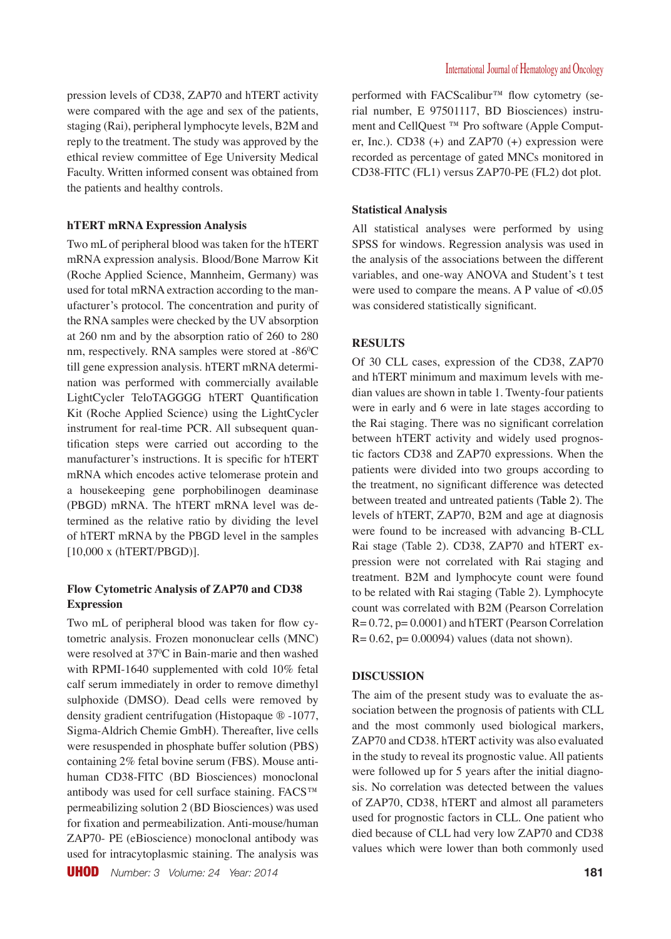pression levels of CD38, ZAP70 and hTERT activity were compared with the age and sex of the patients, staging (Rai), peripheral lymphocyte levels, B2M and reply to the treatment. The study was approved by the ethical review committee of Ege University Medical Faculty. Written informed consent was obtained from the patients and healthy controls.

## **hTERT mRNA Expression Analysis**

Two mL of peripheral blood was taken for the hTERT mRNA expression analysis. Blood/Bone Marrow Kit (Roche Applied Science, Mannheim, Germany) was used for total mRNA extraction according to the manufacturer's protocol. The concentration and purity of the RNA samples were checked by the UV absorption at 260 nm and by the absorption ratio of 260 to 280 nm, respectively. RNA samples were stored at  $-86^{\circ}\text{C}$ till gene expression analysis. hTERT mRNA determination was performed with commercially available LightCycler TeloTAGGGG hTERT Quantification Kit (Roche Applied Science) using the LightCycler instrument for real-time PCR. All subsequent quantification steps were carried out according to the manufacturer's instructions. It is specific for hTERT mRNA which encodes active telomerase protein and a housekeeping gene porphobilinogen deaminase (PBGD) mRNA. The hTERT mRNA level was determined as the relative ratio by dividing the level of hTERT mRNA by the PBGD level in the samples [10,000 x (hTERT/PBGD)].

# **Flow Cytometric Analysis of ZAP70 and CD38 Expression**

Two mL of peripheral blood was taken for flow cytometric analysis. Frozen mononuclear cells (MNC) were resolved at 37<sup>o</sup>C in Bain-marie and then washed with RPMI-1640 supplemented with cold 10% fetal calf serum immediately in order to remove dimethyl sulphoxide (DMSO). Dead cells were removed by density gradient centrifugation (Histopaque ® -1077, Sigma-Aldrich Chemie GmbH). Thereafter, live cells were resuspended in phosphate buffer solution (PBS) containing 2% fetal bovine serum (FBS). Mouse antihuman CD38-FITC (BD Biosciences) monoclonal antibody was used for cell surface staining. FACS™ permeabilizing solution 2 (BD Biosciences) was used for fixation and permeabilization. Anti-mouse/human ZAP70- PE (eBioscience) monoclonal antibody was used for intracytoplasmic staining. The analysis was

performed with FACScalibur™ flow cytometry (serial number, E 97501117, BD Biosciences) instrument and CellQuest ™ Pro software (Apple Computer, Inc.). CD38 (+) and ZAP70 (+) expression were recorded as percentage of gated MNCs monitored in CD38-FITC (FL1) versus ZAP70-PE (FL2) dot plot.

# **Statistical Analysis**

All statistical analyses were performed by using SPSS for windows. Regression analysis was used in the analysis of the associations between the different variables, and one-way ANOVA and Student's t test were used to compare the means. A P value of  $<0.05$ was considered statistically significant.

# **RESULTS**

Of 30 CLL cases, expression of the CD38, ZAP70 and hTERT minimum and maximum levels with median values are shown in table 1. Twenty-four patients were in early and 6 were in late stages according to the Rai staging. There was no significant correlation between hTERT activity and widely used prognostic factors CD38 and ZAP70 expressions. When the patients were divided into two groups according to the treatment, no significant difference was detected between treated and untreated patients (Table 2). The levels of hTERT, ZAP70, B2M and age at diagnosis were found to be increased with advancing B-CLL Rai stage (Table 2). CD38, ZAP70 and hTERT expression were not correlated with Rai staging and treatment. B2M and lymphocyte count were found to be related with Rai staging (Table 2). Lymphocyte count was correlated with B2M (Pearson Correlation R= 0.72, p= 0.0001) and hTERT (Pearson Correlation  $R = 0.62$ ,  $p = 0.00094$ ) values (data not shown).

#### **DISCUSSION**

The aim of the present study was to evaluate the association between the prognosis of patients with CLL and the most commonly used biological markers, ZAP70 and CD38. hTERT activity was also evaluated in the study to reveal its prognostic value. All patients were followed up for 5 years after the initial diagnosis. No correlation was detected between the values of ZAP70, CD38, hTERT and almost all parameters used for prognostic factors in CLL. One patient who died because of CLL had very low ZAP70 and CD38 values which were lower than both commonly used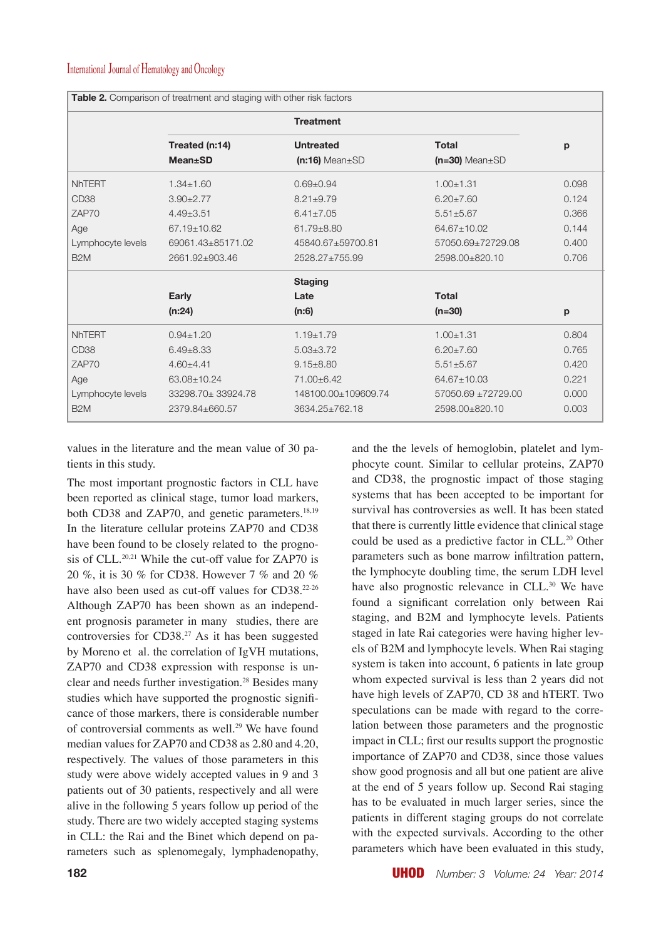| Table 2. Comparison of treatment and staging with other risk factors |                    |                        |                        |       |  |  |
|----------------------------------------------------------------------|--------------------|------------------------|------------------------|-------|--|--|
|                                                                      | <b>Treatment</b>   |                        |                        |       |  |  |
|                                                                      | Treated (n:14)     | <b>Untreated</b>       | <b>Total</b>           | p     |  |  |
|                                                                      | <b>Mean</b> ±SD    | $(n:16)$ Mean $\pm$ SD | $(n=30)$ Mean $\pm$ SD |       |  |  |
| <b>NHTERT</b>                                                        | $1.34 \pm 1.60$    | $0.69 + 0.94$          | $1.00 + 1.31$          | 0.098 |  |  |
| CD <sub>38</sub>                                                     | $3.90 \pm 2.77$    | $8.21 \pm 9.79$        | $6.20 \pm 7.60$        | 0.124 |  |  |
| ZAP70                                                                | $4.49 \pm 3.51$    | $6.41 \pm 7.05$        | $5.51 + 5.67$          | 0.366 |  |  |
| Age                                                                  | 67.19±10.62        | $61.79 \pm 8.80$       | 64.67±10.02            | 0.144 |  |  |
| Lymphocyte levels                                                    | 69061.43±85171.02  | 45840.67±59700.81      | 57050.69±72729.08      | 0.400 |  |  |
| B <sub>2</sub> M                                                     | 2661.92±903.46     | 2528.27±755.99         | 2598.00±820.10         | 0.706 |  |  |
|                                                                      |                    | <b>Staging</b>         |                        |       |  |  |
|                                                                      | Early              | Late                   | <b>Total</b>           |       |  |  |
|                                                                      | (n:24)             | (n:6)                  | $(n=30)$               | p     |  |  |
| <b>NhTERT</b>                                                        | $0.94 \pm 1.20$    | $1.19 + 1.79$          | $1.00 + 1.31$          | 0.804 |  |  |
| CD <sub>38</sub>                                                     | $6.49 \pm 8.33$    | $5.03 \pm 3.72$        | $6.20 \pm 7.60$        | 0.765 |  |  |
| ZAP70                                                                | $4.60 + 4.41$      | $9.15 \pm 8.80$        | $5.51 \pm 5.67$        | 0.420 |  |  |
| Age                                                                  | 63.08±10.24        | 71.00±6.42             | 64.67±10.03            | 0.221 |  |  |
| Lymphocyte levels                                                    | 33298.70± 33924.78 | 148100.00±109609.74    | 57050.69 ±72729.00     | 0.000 |  |  |
| B <sub>2</sub> M                                                     | 2379.84±660.57     | 3634.25±762.18         | 2598.00±820.10         | 0.003 |  |  |

values in the literature and the mean value of 30 patients in this study.

The most important prognostic factors in CLL have been reported as clinical stage, tumor load markers, both CD38 and ZAP70, and genetic parameters.<sup>18,19</sup> In the literature cellular proteins ZAP70 and CD38 have been found to be closely related to the prognosis of CLL.<sup>20,21</sup> While the cut-off value for ZAP70 is 20 %, it is 30 % for CD38. However 7 % and 20 % have also been used as cut-off values for CD38.<sup>22-26</sup> Although ZAP70 has been shown as an independent prognosis parameter in many studies, there are controversies for CD38.27 As it has been suggested by Moreno et al. the correlation of IgVH mutations, ZAP70 and CD38 expression with response is unclear and needs further investigation.<sup>28</sup> Besides many studies which have supported the prognostic significance of those markers, there is considerable number of controversial comments as well.<sup>29</sup> We have found median values for ZAP70 and CD38 as 2.80 and 4.20, respectively. The values of those parameters in this study were above widely accepted values in 9 and 3 patients out of 30 patients, respectively and all were alive in the following 5 years follow up period of the study. There are two widely accepted staging systems in CLL: the Rai and the Binet which depend on parameters such as splenomegaly, lymphadenopathy,

and the the levels of hemoglobin, platelet and lymphocyte count. Similar to cellular proteins, ZAP70 and CD38, the prognostic impact of those staging systems that has been accepted to be important for survival has controversies as well. It has been stated that there is currently little evidence that clinical stage could be used as a predictive factor in CLL.<sup>20</sup> Other parameters such as bone marrow infiltration pattern, the lymphocyte doubling time, the serum LDH level have also prognostic relevance in CLL.<sup>30</sup> We have found a significant correlation only between Rai staging, and B2M and lymphocyte levels. Patients staged in late Rai categories were having higher levels of B2M and lymphocyte levels. When Rai staging system is taken into account, 6 patients in late group whom expected survival is less than 2 years did not have high levels of ZAP70, CD 38 and hTERT. Two speculations can be made with regard to the correlation between those parameters and the prognostic impact in CLL; first our results support the prognostic importance of ZAP70 and CD38, since those values show good prognosis and all but one patient are alive at the end of 5 years follow up. Second Rai staging has to be evaluated in much larger series, since the patients in different staging groups do not correlate with the expected survivals. According to the other parameters which have been evaluated in this study,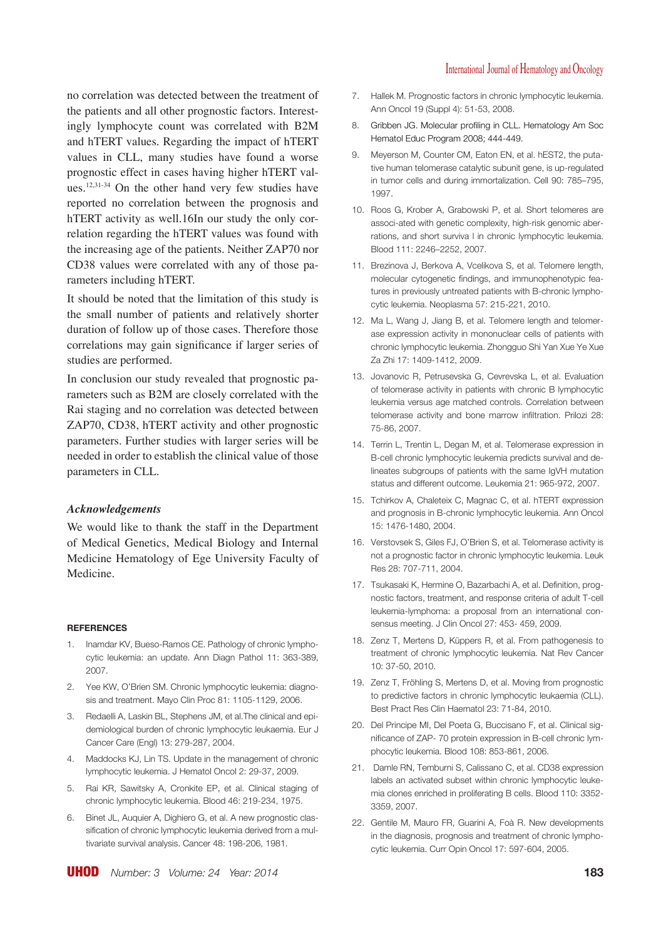no correlation was detected between the treatment of the patients and all other prognostic factors. Interestingly lymphocyte count was correlated with B2M and hTERT values. Regarding the impact of hTERT values in CLL, many studies have found a worse prognostic effect in cases having higher hTERT values.12,31-34 On the other hand very few studies have reported no correlation between the prognosis and hTERT activity as well.16In our study the only correlation regarding the hTERT values was found with the increasing age of the patients. Neither ZAP70 nor CD38 values were correlated with any of those parameters including hTERT.

It should be noted that the limitation of this study is the small number of patients and relatively shorter duration of follow up of those cases. Therefore those correlations may gain significance if larger series of studies are performed.

In conclusion our study revealed that prognostic parameters such as B2M are closely correlated with the Rai staging and no correlation was detected between ZAP70, CD38, hTERT activity and other prognostic parameters. Further studies with larger series will be needed in order to establish the clinical value of those parameters in CLL.

#### *Acknowledgements*

We would like to thank the staff in the Department of Medical Genetics, Medical Biology and Internal Medicine Hematology of Ege University Faculty of Medicine.

#### **REFERENCES**

- 1. Inamdar KV, Bueso-Ramos CE. Pathology of chronic lymphocytic leukemia: an update. Ann Diagn Pathol 11: 363-389, 2007.
- 2. Yee KW, O'Brien SM. Chronic lymphocytic leukemia: diagnosis and treatment. Mayo Clin Proc 81: 1105-1129, 2006.
- 3. Redaelli A, Laskin BL, Stephens JM, et al.The clinical and epidemiological burden of chronic lymphocytic leukaemia. Eur J Cancer Care (Engl) 13: 279-287, 2004.
- 4. Maddocks KJ, Lin TS. Update in the management of chronic lymphocytic leukemia. J Hematol Oncol 2: 29-37, 2009.
- 5. Rai KR, Sawitsky A, Cronkite EP, et al. Clinical staging of chronic lymphocytic leukemia. Blood 46: 219-234, 1975.
- 6. Binet JL, Auquier A, Dighiero G, et al. A new prognostic classification of chronic lymphocytic leukemia derived from a multivariate survival analysis. Cancer 48: 198-206, 1981.
- 7. Hallek M. Prognostic factors in chronic lymphocytic leukemia. Ann Oncol 19 (Suppl 4): 51-53, 2008.
- 8. Gribben JG. Molecular profiling in CLL. Hematology Am Soc Hematol Educ Program 2008; 444-449.
- 9. Meyerson M, Counter CM, Eaton EN, et al. hEST2, the putative human telomerase catalytic subunit gene, is up-regulated in tumor cells and during immortalization. Cell 90: 785–795, 1997.
- 10. Roos G, Krober A, Grabowski P, et al. Short telomeres are associ-ated with genetic complexity, high-risk genomic aberrations, and short surviva l in chronic lymphocytic leukemia. Blood 111: 2246–2252, 2007.
- 11. Brezinova J, Berkova A, Vcelikova S, et al. Telomere length, molecular cytogenetic findings, and immunophenotypic features in previously untreated patients with B-chronic lymphocytic leukemia. Neoplasma 57: 215-221, 2010.
- 12. Ma L, Wang J, Jiang B, et al. Telomere length and telomerase expression activity in mononuclear cells of patients with chronic lymphocytic leukemia. Zhongguo Shi Yan Xue Ye Xue Za Zhi 17: 1409-1412, 2009.
- 13. Jovanovic R, Petrusevska G, Cevrevska L, et al. Evaluation of telomerase activity in patients with chronic B lymphocytic leukemia versus age matched controls. Correlation between telomerase activity and bone marrow infiltration. Prilozi 28: 75-86, 2007.
- 14. Terrin L, Trentin L, Degan M, et al. Telomerase expression in B-cell chronic lymphocytic leukemia predicts survival and delineates subgroups of patients with the same IgVH mutation status and different outcome. Leukemia 21: 965-972, 2007.
- 15. Tchirkov A, Chaleteix C, Magnac C, et al. hTERT expression and prognosis in B-chronic lymphocytic leukemia. Ann Oncol 15: 1476-1480, 2004.
- 16. Verstovsek S, Giles FJ, O'Brien S, et al. Telomerase activity is not a prognostic factor in chronic lymphocytic leukemia. Leuk Res 28: 707-711, 2004.
- 17. Tsukasaki K, Hermine O, Bazarbachi A, et al. Definition, prognostic factors, treatment, and response criteria of adult T-cell leukemia-lymphoma: a proposal from an international consensus meeting. J Clin Oncol 27: 453- 459, 2009.
- 18. Zenz T, Mertens D, Küppers R, et al. From pathogenesis to treatment of chronic lymphocytic leukemia. Nat Rev Cancer 10: 37-50, 2010.
- 19. Zenz T, Fröhling S, Mertens D, et al. Moving from prognostic to predictive factors in chronic lymphocytic leukaemia (CLL). Best Pract Res Clin Haematol 23: 71-84, 2010.
- 20. Del Principe MI, Del Poeta G, Buccisano F, et al. Clinical significance of ZAP- 70 protein expression in B-cell chronic lymphocytic leukemia. Blood 108: 853-861, 2006.
- 21. Damle RN, Temburni S, Calissano C, et al. CD38 expression labels an activated subset within chronic lymphocytic leukemia clones enriched in proliferating B cells. Blood 110: 3352- 3359, 2007.
- 22. Gentile M, Mauro FR, Guarini A, Foà R. New developments in the diagnosis, prognosis and treatment of chronic lymphocytic leukemia. Curr Opin Oncol 17: 597-604, 2005.